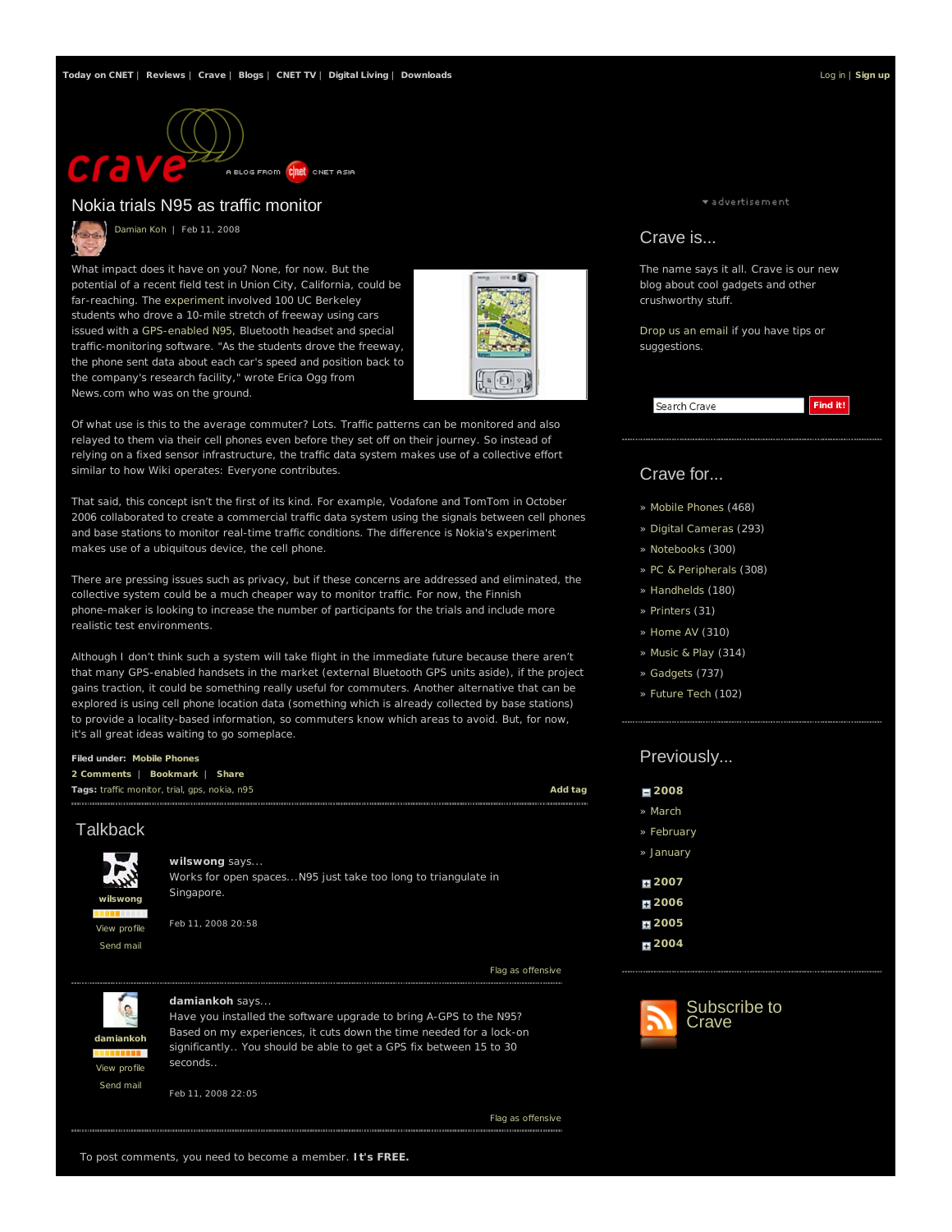

# Nokia trials N95 as traffic monitor

Damian Koh | Feb 11, 2008

What impact does it have on you? None, for now. But the potential of a recent field test in Union City, California, could be far-reaching. The experiment involved 100 UC Berkeley students who drove a 10-mile stretch of freeway using cars issued with a GPS-enabled N95, Bluetooth headset and special traffic-monitoring software. "As the students drove the freeway, the phone sent data about each car's speed and position back to the company's research facility," wrote Erica Ogg from News.com who was on the ground.



Of what use is this to the average commuter? Lots. Traffic patterns can be monitored and also relayed to them via their cell phones even before they set off on their journey. So instead of relying on a fixed sensor infrastructure, the traffic data system makes use of a collective effort similar to how Wiki operates: Everyone contributes.

That said, this concept isn't the first of its kind. For example, Vodafone and TomTom in October 2006 collaborated to create a commercial traffic data system using the signals between cell phones and base stations to monitor real-time traffic conditions. The difference is Nokia's experiment makes use of a ubiquitous device, the cell phone.

There are pressing issues such as privacy, but if these concerns are addressed and eliminated, the collective system could be a much cheaper way to monitor traffic. For now, the Finnish phone-maker is looking to increase the number of participants for the trials and include more realistic test environments.

Although I don't think such a system will take flight in the immediate future because there aren't that many GPS-enabled handsets in the market (external Bluetooth GPS units aside), if the project gains traction, it could be something really useful for commuters. Another alternative that can be explored is using cell phone location data (something which is already collected by base stations) to provide a locality-based information, so commuters know which areas to avoid. But, for now, it's all great ideas waiting to go someplace.

### **Filed under: Mobile Phones**

| Tags: traffic monitor, trial, gps, nokia, n95 | 2 Comments   Bookmark   Share |  |  |  |         |
|-----------------------------------------------|-------------------------------|--|--|--|---------|
|                                               |                               |  |  |  | Add tag |

# **Talkback**



### **wilswong** says...

Works for open spaces...N95 just take too long to triangulate in Singapore.

Feb 11, 2008 20:58

Flag as offensive



#### **damiankoh** says...

Have you installed the software upgrade to bring A-GPS to the N95? Based on my experiences, it cuts down the time needed for a lock-on significantly.. You should be able to get a GPS fix between 15 to 30 seconds..

Feb 11, 2008 22:05

Flag as offensive

\* advertisement

### Crave is...

The name says it all. Crave is our new blog about cool gadgets and other crushworthy stuff.

Drop us an email if you have tips or suggestions.



# Crave for...

- » Mobile Phones (468)
- » Digital Cameras (293)
- » Notebooks (300)
- » PC & Peripherals (308)
- » Handhelds (180)
- » Printers (31)
- » Home AV (310)
- » Music & Play (314)
- » Gadgets (737)
- » Future Tech (102)

# Previously...

| 2008    |
|---------|
| » March |

- » February
- » January
- **2007**
- **2006**
- **2005**
- **2004**